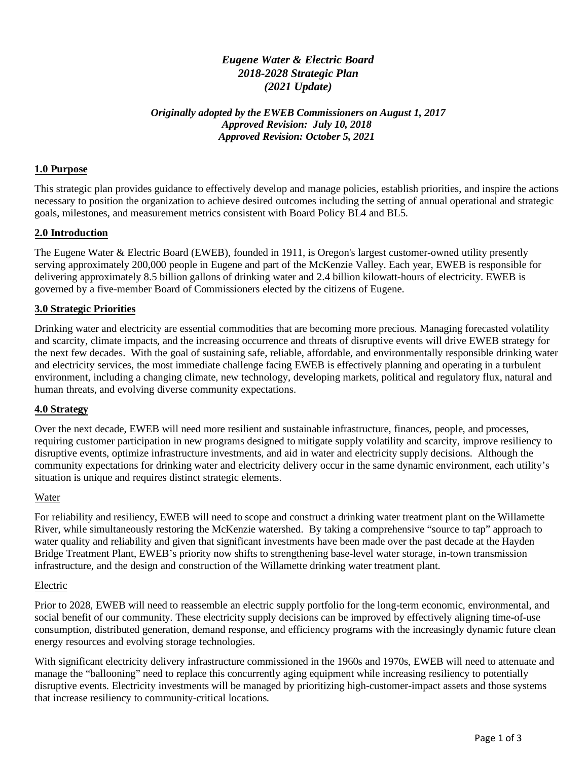# *Eugene Water & Electric Board 2018-2028 Strategic Plan (2021 Update)*

## *Originally adopted by the EWEB Commissioners on August 1, 2017 Approved Revision: July 10, 2018 Approved Revision: October 5, 2021*

#### **1.0 Purpose**

This strategic plan provides guidance to effectively develop and manage policies, establish priorities, and inspire the actions necessary to position the organization to achieve desired outcomes including the setting of annual operational and strategic goals, milestones, and measurement metrics consistent with Board Policy BL4 and BL5.

## **2.0 Introduction**

The Eugene Water & Electric Board (EWEB), founded in 1911, is Oregon's largest customer-owned utility presently serving approximately 200,000 people in Eugene and part of the McKenzie Valley. Each year, EWEB is responsible for delivering approximately 8.5 billion gallons of drinking water and 2.4 billion kilowatt-hours of electricity. EWEB is governed by a five-member Board of Commissioners elected by the citizens of Eugene.

## **3.0 Strategic Priorities**

Drinking water and electricity are essential commodities that are becoming more precious. Managing forecasted volatility and scarcity, climate impacts, and the increasing occurrence and threats of disruptive events will drive EWEB strategy for the next few decades. With the goal of sustaining safe, reliable, affordable, and environmentally responsible drinking water and electricity services, the most immediate challenge facing EWEB is effectively planning and operating in a turbulent environment, including a changing climate, new technology, developing markets, political and regulatory flux, natural and human threats, and evolving diverse community expectations.

#### **4.0 Strategy**

Over the next decade, EWEB will need more resilient and sustainable infrastructure, finances, people, and processes, requiring customer participation in new programs designed to mitigate supply volatility and scarcity, improve resiliency to disruptive events, optimize infrastructure investments, and aid in water and electricity supply decisions. Although the community expectations for drinking water and electricity delivery occur in the same dynamic environment, each utility's situation is unique and requires distinct strategic elements.

#### Water

For reliability and resiliency, EWEB will need to scope and construct a drinking water treatment plant on the Willamette River, while simultaneously restoring the McKenzie watershed. By taking a comprehensive "source to tap" approach to water quality and reliability and given that significant investments have been made over the past decade at the Hayden Bridge Treatment Plant, EWEB's priority now shifts to strengthening base-level water storage, in-town transmission infrastructure, and the design and construction of the Willamette drinking water treatment plant.

#### Electric

Prior to 2028, EWEB will need to reassemble an electric supply portfolio for the long-term economic, environmental, and social benefit of our community. These electricity supply decisions can be improved by effectively aligning time-of-use consumption, distributed generation, demand response, and efficiency programs with the increasingly dynamic future clean energy resources and evolving storage technologies.

With significant electricity delivery infrastructure commissioned in the 1960s and 1970s, EWEB will need to attenuate and manage the "ballooning" need to replace this concurrently aging equipment while increasing resiliency to potentially disruptive events. Electricity investments will be managed by prioritizing high-customer-impact assets and those systems that increase resiliency to community-critical locations.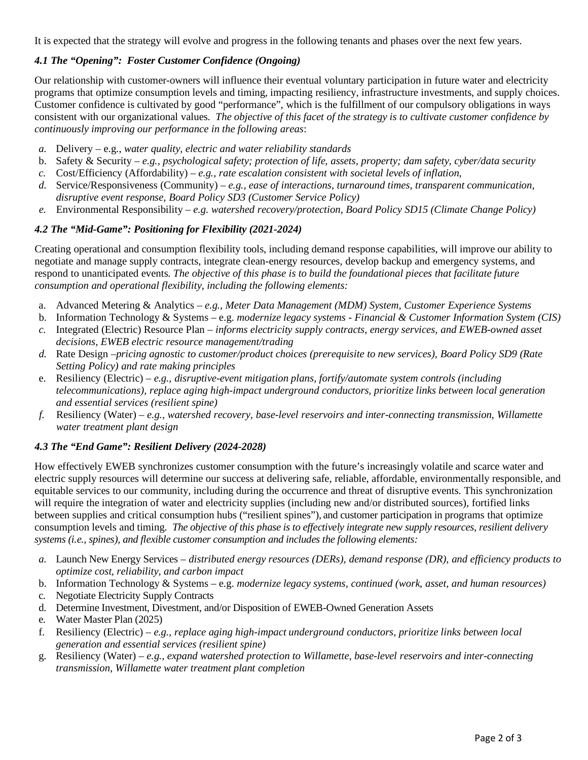It is expected that the strategy will evolve and progress in the following tenants and phases over the next few years.

# *4.1 The "Opening": Foster Customer Confidence (Ongoing)*

Our relationship with customer-owners will influence their eventual voluntary participation in future water and electricity programs that optimize consumption levels and timing, impacting resiliency, infrastructure investments, and supply choices. Customer confidence is cultivated by good "performance", which is the fulfillment of our compulsory obligations in ways consistent with our organizational values. *The objective of this facet of the strategy is to cultivate customer confidence by continuously improving our performance in the following areas*:

- *a.* Delivery e.g., *water quality, electric and water reliability standards*
- b. Safety & Security *e.g., psychological safety; protection of life, assets, property; dam safety, cyber/data security*
- *c.* Cost/Efficiency (Affordability) *e.g., rate escalation consistent with societal levels of inflation,*
- *d.* Service/Responsiveness (Community) *e.g., ease of interactions, turnaround times, transparent communication, disruptive event response, Board Policy SD3 (Customer Service Policy)*
- *e.* Environmental Responsibility *e.g. watershed recovery/protection, Board Policy SD15 (Climate Change Policy)*

## *4.2 The "Mid-Game": Positioning for Flexibility (2021-2024)*

Creating operational and consumption flexibility tools, including demand response capabilities, will improve our ability to negotiate and manage supply contracts, integrate clean-energy resources, develop backup and emergency systems, and respond to unanticipated events. *The objective of this phase is to build the foundational pieces that facilitate future consumption and operational flexibility, including the following elements:* 

- a. Advanced Metering & Analytics *e.g., Meter Data Management (MDM) System, Customer Experience Systems*
- b. Information Technology & Systems e.g. *modernize legacy systems Financial & Customer Information System (CIS)*
- *c.* Integrated (Electric) Resource Plan *informs electricity supply contracts, energy services, and EWEB-owned asset decisions, EWEB electric resource management/trading*
- *d.* Rate Design –*pricing agnostic to customer/product choices (prerequisite to new services), Board Policy SD9 (Rate Setting Policy) and rate making principles*
- e. Resiliency (Electric) *e.g., disruptive-event mitigation plans, fortify/automate system controls (including telecommunications), replace aging high-impact underground conductors, prioritize links between local generation and essential services (resilient spine)*
- *f.* Resiliency (Water) *e.g., watershed recovery, base-level reservoirs and inter-connecting transmission, Willamette water treatment plant design*

## *4.3 The "End Game": Resilient Delivery (2024-2028)*

How effectively EWEB synchronizes customer consumption with the future's increasingly volatile and scarce water and electric supply resources will determine our success at delivering safe, reliable, affordable, environmentally responsible, and equitable services to our community, including during the occurrence and threat of disruptive events. This synchronization will require the integration of water and electricity supplies (including new and/or distributed sources), fortified links between supplies and critical consumption hubs ("resilient spines"), and customer participation in programs that optimize consumption levels and timing. *The objective of this phase is to effectively integrate new supply resources, resilient delivery systems (i.e., spines), and flexible customer consumption and includes the following elements:*

- *a.* Launch New Energy Services *distributed energy resources (DERs), demand response (DR), and efficiency products to optimize cost, reliability, and carbon impact*
- b. Information Technology & Systems e.g. *modernize legacy systems, continued (work, asset, and human resources)*
- c. Negotiate Electricity Supply Contracts
- d. Determine Investment, Divestment, and/or Disposition of EWEB-Owned Generation Assets
- e. Water Master Plan (2025)
- f. Resiliency (Electric) *e.g., replace aging high-impact underground conductors, prioritize links between local generation and essential services (resilient spine)*
- g. Resiliency (Water) *e.g., expand watershed protection to Willamette, base-level reservoirs and inter-connecting transmission, Willamette water treatment plant completion*